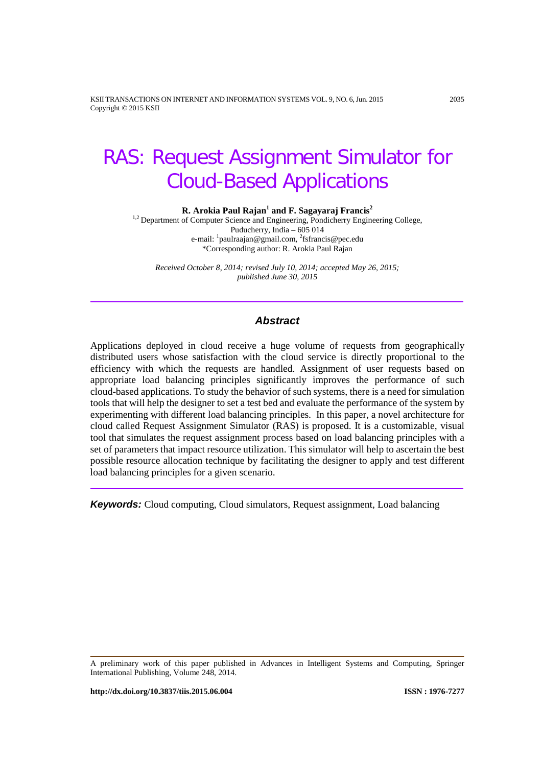<span id="page-0-0"></span>KSII TRANSACTIONS ON INTERNET AND INFORMATION SYSTEMS VOL. 9, NO. 6,Jun. 2015 2035 Copyright © 2015 KSII

# RAS: Request Assignment Simulator for Cloud-Based Applications

**R. Arokia Paul Rajan<sup>1</sup> and F. Sagayaraj Francis<sup>2</sup>** 

<sup>1,2</sup> Department of Computer Science and Engineering, Pondicherry Engineering College, Puducherry, India – 605 014 e-mail: <sup>1</sup>paulraajan@gmail.com, <sup>2</sup>fsfrancis@pec.edu \*Corresponding author: R. Arokia Paul Rajan

*Received October 8, 2014; revised July 10, 2014; accepted May 26, 2015; published June 30, 2015*

## *Abstract*

Applications deployed in cloud receive a huge volume of requests from geographically distributed users whose satisfaction with the cloud service is directly proportional to the efficiency with which the requests are handled. Assignment of user requests based on appropriate load balancing principles significantly improves the performance of such cloud-based applications. To study the behavior of such systems, there is a need for simulation tools that will help the designer to set a test bed and evaluate the performance of the system by experimenting with different load balancing principles. In this paper, a novel architecture for cloud called Request Assignment Simulator (RAS) is proposed. It is a customizable, visual tool that simulates the request assignment process based on load balancing principles with a set of parameters that impact resource utilization. This simulator will help to ascertain the best possible resource allocation technique by facilitating the designer to apply and test different load balancing principles for a given scenario.

*Keywords:* Cloud computing, Cloud simulators, Request assignment, Load balancing

A preliminary work of this paper published in Advances in Intelligent Systems and Computing, Springer International Publishing, Volume 248, 2014.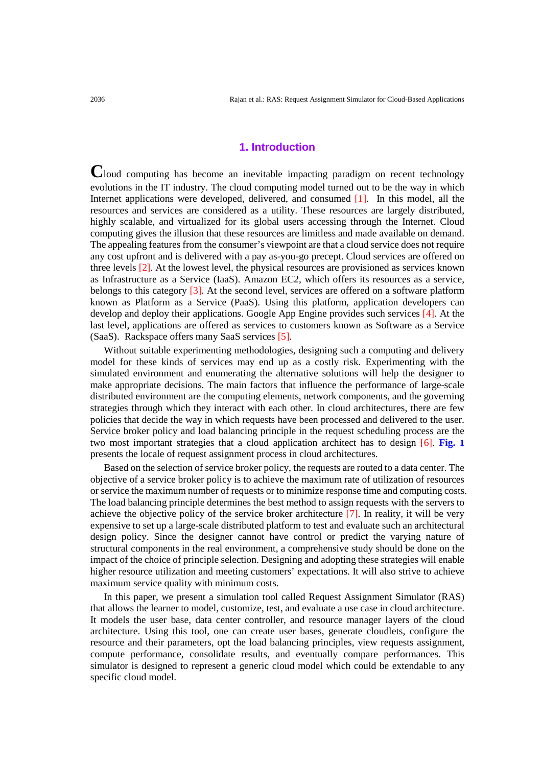## **1. Introduction**

**C**loud computing has become an inevitable impacting paradigm on recent technology evolutions in the IT industry. The cloud computing model turned out to be the way in which Internet applications were developed, delivered, and consumed [1]. In this model, all the resources and services are considered as a utility. These resources are largely distributed, highly scalable, and virtualized for its global users accessing through the Internet. Cloud computing gives the illusion that these resources are limitless and made available on demand. The appealing features from the consumer's viewpoint are that a cloud service does not require any cost upfront and is delivered with a pay as-you-go precept. Cloud services are offered on three levels [2]. At the lowest level, the physical resources are provisioned as services known as Infrastructure as a Service (IaaS). Amazon EC2, which offers its resources as a service, belongs to this category [3]. At the second level, services are offered on a software platform known as Platform as a Service (PaaS). Using this platform, application developers can develop and deploy their applications. Google App Engine provides such services [4]. At the last level, applications are offered as services to customers known as Software as a Service (SaaS). Rackspace offers many SaaS services [5].

Without suitable experimenting methodologies, designing such a computing and delivery model for these kinds of services may end up as a costly risk. Experimenting with the simulated environment and enumerating the alternative solutions will help the designer to make appropriate decisions. The main factors that influence the performance of large-scale distributed environment are the computing elements, network components, and the governing strategies through which they interact with each other. In cloud architectures, there are few policies that decide the way in which requests have been processed and delivered to the user. Service broker policy and load balancing principle in the request scheduling process are the two most important strategies that a cloud application architect has to design [6]. **Fig. 1** presents the locale of request assignment process in cloud architectures.

Based on the selection of service broker policy, the requests are routed to a data center. The objective of a service broker policy is to achieve the maximum rate of utilization of resources or service the maximum number of requests or to minimize response time and computing costs. The load balancing principle determines the best method to assign requests with the servers to achieve the objective policy of the service broker architecture [7]. In reality, it will be very expensive to set up a large-scale distributed platform to test and evaluate such an architectural design policy. Since the designer cannot have control or predict the varying nature of structural components in the real environment, a comprehensive study should be done on the impact of the choice of principle selection. Designing and adopting these strategies will enable higher resource utilization and meeting customers' expectations. It will also strive to achieve maximum service quality with minimum costs.

In this paper, we present a simulation tool called Request Assignment Simulator (RAS) that allows the learner to model, customize, test, and evaluate a use case in cloud architecture. It models the user base, data center controller, and resource manager layers of the cloud architecture. Using this tool, one can create user bases, generate cloudlets, configure the resource and their parameters, opt the load balancing principles, view requests assignment, compute performance, consolidate results, and eventually compare performances. This simulator is designed to represent a generic cloud model which could be extendable to any specific cloud model.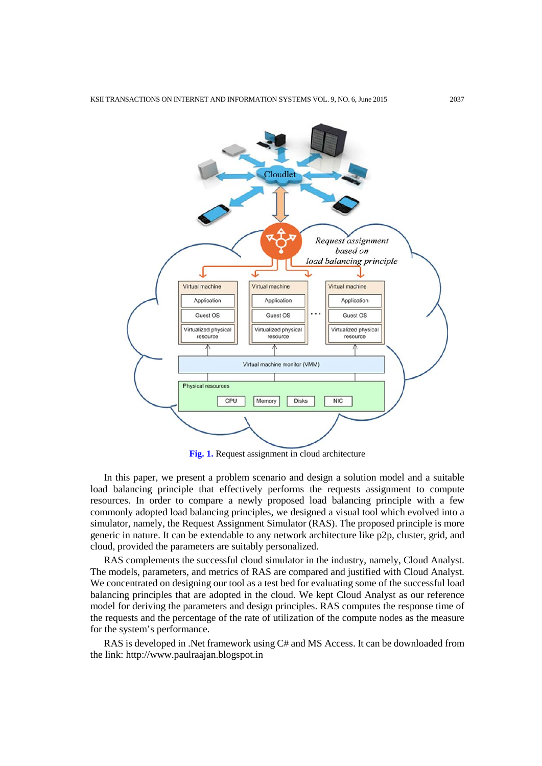

**Fig. 1.** Request assignment in cloud architecture

In this paper, we present a problem scenario and design a solution model and a suitable load balancing principle that effectively performs the requests assignment to compute resources. In order to compare a newly proposed load balancing principle with a few commonly adopted load balancing principles, we designed a visual tool which evolved into a simulator, namely, the Request Assignment Simulator (RAS). The proposed principle is more generic in nature. It can be extendable to any network architecture like p2p, cluster, grid, and cloud, provided the parameters are suitably personalized.

RAS complements the successful cloud simulator in the industry, namely, Cloud Analyst. The models, parameters, and metrics of RAS are compared and justified with Cloud Analyst. We concentrated on designing our tool as a test bed for evaluating some of the successful load balancing principles that are adopted in the cloud. We kept Cloud Analyst as our reference model for deriving the parameters and design principles. RAS computes the response time of the requests and the percentage of the rate of utilization of the compute nodes as the measure for the system's performance.

RAS is developed in .Net framework using C# and MS Access. It can be downloaded from the link: [http://www.paulraajan.blogspot.in](http://www.paulraajan.blogspot.in/)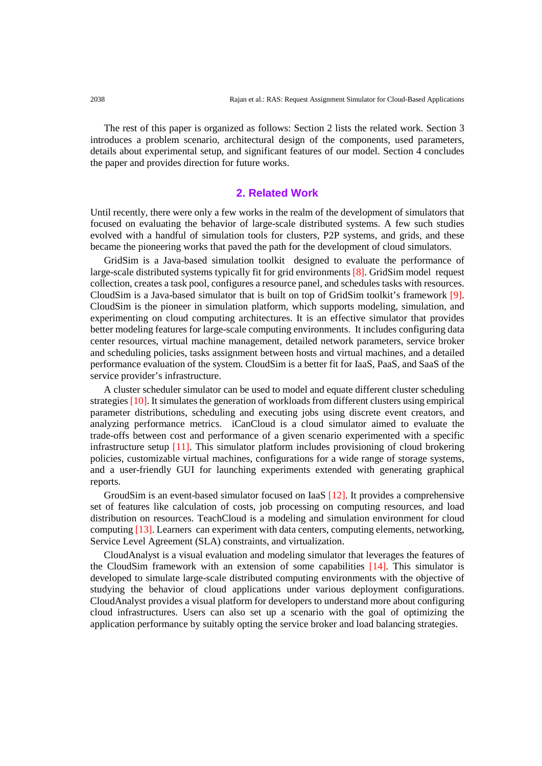The rest of this paper is organized as follows: Section 2 lists the related work. Section 3 introduces a problem scenario, architectural design of the components, used parameters, details about experimental setup, and significant features of our model. Section 4 concludes the paper and provides direction for future works.

## **2. Related Work**

Until recently, there were only a few works in the realm of the development of simulators that focused on evaluating the behavior of large-scale distributed systems. A few such studies evolved with a handful of simulation tools for clusters, P2P systems, and grids, and these became the pioneering works that paved the path for the development of cloud simulators.

GridSim is a Java-based simulation toolkit designed to evaluate the performance of large-scale distributed systems typically fit for grid environments [8]. GridSim model request collection, creates a task pool, configures a resource panel, and schedules tasks with resources. CloudSim is a Java-based simulator that is built on top of GridSim toolkit's framework [9]. CloudSim is the pioneer in simulation platform, which supports modeling, simulation, and experimenting on cloud computing architectures. It is an effective simulator that provides better modeling features for large-scale computing environments. It includes configuring data center resources, virtual machine management, detailed network parameters, service broker and scheduling policies, tasks assignment between hosts and virtual machines, and a detailed performance evaluation of the system. CloudSim is a better fit for IaaS, PaaS, and SaaS of the service provider's infrastructure.

A cluster scheduler simulator can be used to model and equate different cluster scheduling strategies [10]. It simulates the generation of workloads from different clusters using empirical parameter distributions, scheduling and executing jobs using discrete event creators, and analyzing performance metrics. iCanCloud is a cloud simulator aimed to evaluate the trade-offs between cost and performance of a given scenario experimented with a specific infrastructure setup [11]. This simulator platform includes provisioning of cloud brokering policies, customizable virtual machines, configurations for a wide range of storage systems, and a user-friendly GUI for launching experiments extended with generating graphical reports.

GroudSim is an event-based simulator focused on IaaS [12]. It provides a comprehensive set of features like calculation of costs, job processing on computing resources, and load distribution on resources. TeachCloud is a modeling and simulation environment for cloud computing [13]. Learners can experiment with data centers, computing elements, networking, Service Level Agreement (SLA) constraints, and virtualization.

CloudAnalyst is a visual evaluation and modeling simulator that leverages the features of the CloudSim framework with an extension of some capabilities [14]. This simulator is developed to simulate large-scale distributed computing environments with the objective of studying the behavior of cloud applications under various deployment configurations. CloudAnalyst provides a visual platform for developers to understand more about configuring cloud infrastructures. Users can also set up a scenario with the goal of optimizing the application performance by suitably opting the service broker and load balancing strategies.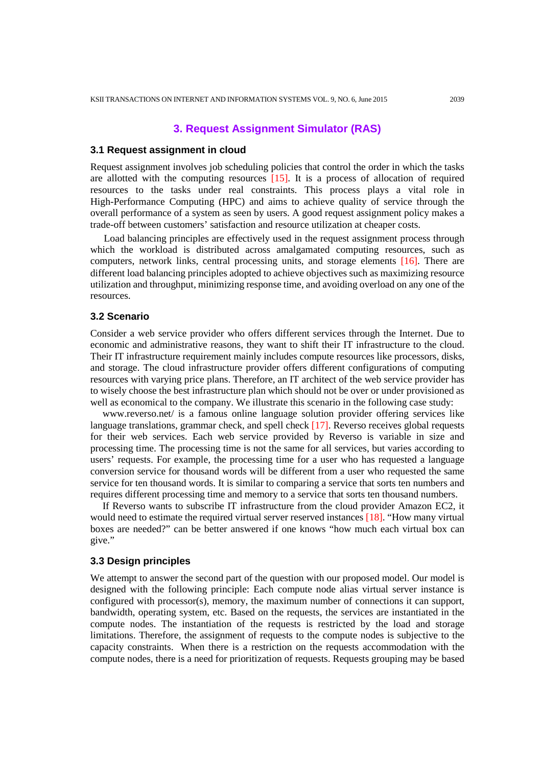# **3. Request Assignment Simulator (RAS)**

#### **3.1 Request assignment in cloud**

Request assignment involves job scheduling policies that control the order in which the tasks are allotted with the computing resources [15]. It is a process of allocation of required resources to the tasks under real constraints. This process plays a vital role in High-Performance Computing (HPC) and aims to achieve quality of service through the overall performance of a system as seen by users. A good request assignment policy makes a trade-off between customers' satisfaction and resource utilization at cheaper costs.

Load balancing principles are effectively used in the request assignment process through which the workload is distributed across amalgamated computing resources, such as computers, network links, central processing units, and storage elements [16]. There are different load balancing principles adopted to achieve objectives such as maximizing resource utilization and throughput, minimizing response time, and avoiding overload on any one of the resources.

#### **3.2 Scenario**

Consider a web service provider who offers different services through the Internet. Due to economic and administrative reasons, they want to shift their IT infrastructure to the cloud. Their IT infrastructure requirement mainly includes compute resources like processors, disks, and storage. The cloud infrastructure provider offers different configurations of computing resources with varying price plans. Therefore, an IT architect of the web service provider has to wisely choose the best infrastructure plan which should not be over or under provisioned as well as economical to the company. We illustrate this scenario in the following case study:

www.reverso.net/ is a famous online language solution provider offering services like language translations, grammar check, and spell check [17]. Reverso receives global requests for their web services. Each web service provided by Reverso is variable in size and processing time. The processing time is not the same for all services, but varies according to users' requests. For example, the processing time for a user who has requested a language conversion service for thousand words will be different from a user who requested the same service for ten thousand words. It is similar to comparing a service that sorts ten numbers and requires different processing time and memory to a service that sorts ten thousand numbers.

If Reverso wants to subscribe IT infrastructure from the cloud provider Amazon EC2, it would need to estimate the required virtual server reserved instances [18]. "How many virtual boxes are needed?" can be better answered if one knows "how much each virtual box can give."

### **3.3 Design principles**

We attempt to answer the second part of the question with our proposed model. Our model is designed with the following principle: Each compute node alias virtual server instance is configured with processor(s), memory, the maximum number of connections it can support, bandwidth, operating system, etc. Based on the requests, the services are instantiated in the compute nodes. The instantiation of the requests is restricted by the load and storage limitations. Therefore, the assignment of requests to the compute nodes is subjective to the capacity constraints. When there is a restriction on the requests accommodation with the compute nodes, there is a need for prioritization of requests. Requests grouping may be based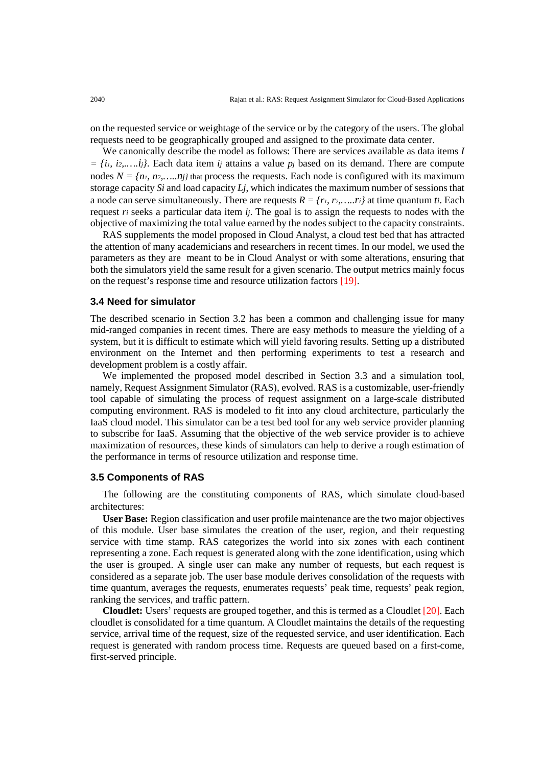on the requested service or weightage of the service or by the category of the users. The global requests need to be geographically grouped and assigned to the proximate data center.

We canonically describe the model as follows: There are services available as data items *I = {i1, i2,.….ij}*. Each data item *ij* attains a value *pj* based on its demand. There are compute nodes  $N = \{n_1, n_2, \ldots, n_l\}$  that process the requests. Each node is configured with its maximum storage capacity *Si* and load capacity *Lj*, which indicates the maximum number of sessions that a node can serve simultaneously. There are requests  $R = \{r_1, r_2, \ldots, r_i\}$  at time quantum *ti*. Each request *ri* seeks a particular data item *ij*. The goal is to assign the requests to nodes with the objective of maximizing the total value earned by the nodes subject to the capacity constraints.

RAS supplements the model proposed in Cloud Analyst, a cloud test bed that has attracted the attention of many academicians and researchers in recent times. In our model, we used the parameters as they are meant to be in Cloud Analyst or with some alterations, ensuring that both the simulators yield the same result for a given scenario. The output metrics mainly focus on the request's response time and resource utilization factors [19].

#### **3.4 Need for simulator**

The described scenario in Section 3.2 has been a common and challenging issue for many mid-ranged companies in recent times. There are easy methods to measure the yielding of a system, but it is difficult to estimate which will yield favoring results. Setting up a distributed environment on the Internet and then performing experiments to test a research and development problem is a costly affair.

We implemented the proposed model described in Section 3.3 and a simulation tool, namely, Request Assignment Simulator (RAS), evolved. RAS is a customizable, user-friendly tool capable of simulating the process of request assignment on a large-scale distributed computing environment. RAS is modeled to fit into any cloud architecture, particularly the IaaS cloud model. This simulator can be a test bed tool for any web service provider planning to subscribe for IaaS. Assuming that the objective of the web service provider is to achieve maximization of resources, these kinds of simulators can help to derive a rough estimation of the performance in terms of resource utilization and response time.

#### **3.5 Components of RAS**

The following are the constituting components of RAS, which simulate cloud-based architectures:

**User Base:** Region classification and user profile maintenance are the two major objectives of this module. User base simulates the creation of the user, region, and their requesting service with time stamp. RAS categorizes the world into six zones with each continent representing a zone. Each request is generated along with the zone identification, using which the user is grouped. A single user can make any number of requests, but each request is considered as a separate job. The user base module derives consolidation of the requests with time quantum, averages the requests, enumerates requests' peak time, requests' peak region, ranking the services, and traffic pattern.

**Cloudlet:** Users' requests are grouped together, and this is termed as a Cloudlet [20]. Each cloudlet is consolidated for a time quantum. A Cloudlet maintains the details of the requesting service, arrival time of the request, size of the requested service, and user identification. Each request is generated with random process time. Requests are queued based on a first-come, first-served principle.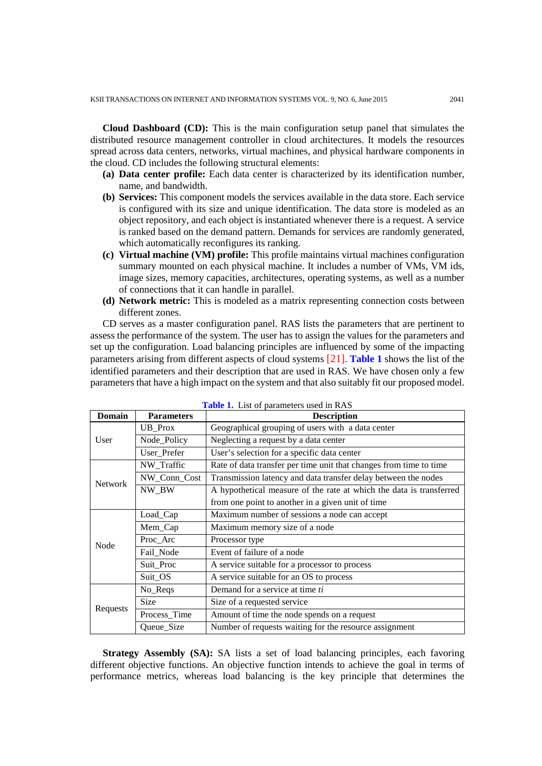**Cloud Dashboard (CD):** This is the main configuration setup panel that simulates the distributed resource management controller in cloud architectures. It models the resources spread across data centers, networks, virtual machines, and physical hardware components in the cloud. CD includes the following structural elements:

- **(a) Data center profile:** Each data center is characterized by its identification number, name, and bandwidth.
- **(b) Services:** This component models the services available in the data store. Each service is configured with its size and unique identification. The data store is modeled as an object repository, and each object is instantiated whenever there is a request. A service is ranked based on the demand pattern. Demands for services are randomly generated, which automatically reconfigures its ranking.
- **(c) Virtual machine (VM) profile:** This profile maintains virtual machines configuration summary mounted on each physical machine. It includes a number of VMs, VM ids, image sizes, memory capacities, architectures, operating systems, as well as a number of connections that it can handle in parallel.
- **(d) Network metric:** This is modeled as a matrix representing connection costs between different zones.

CD serves as a master configuration panel. RAS lists the parameters that are pertinent to assess the performance of the system. The user has to assign the values for the parameters and set up the configuration. Load balancing principles are influenced by some of the impacting parameters arising from different aspects of cloud systems [21]. **Table 1** shows the list of the identified parameters and their description that are used in RAS. We have chosen only a few parameters that have a high impact on the system and that also suitably fit our proposed model.

| <b>Domain</b>  | <b>Description</b><br><b>Parameters</b> |                                                                     |  |  |  |
|----------------|-----------------------------------------|---------------------------------------------------------------------|--|--|--|
|                | UB_Prox                                 | Geographical grouping of users with a data center                   |  |  |  |
| User           | Node_Policy                             | Neglecting a request by a data center                               |  |  |  |
|                | User_Prefer                             | User's selection for a specific data center                         |  |  |  |
|                | NW_Traffic                              | Rate of data transfer per time unit that changes from time to time  |  |  |  |
| <b>Network</b> | NW_Conn_Cost                            | Transmission latency and data transfer delay between the nodes      |  |  |  |
|                | NW_BW                                   | A hypothetical measure of the rate at which the data is transferred |  |  |  |
|                |                                         | from one point to another in a given unit of time                   |  |  |  |
|                | Load_Cap                                | Maximum number of sessions a node can accept                        |  |  |  |
| Node           | Mem_Cap                                 | Maximum memory size of a node                                       |  |  |  |
|                | Proc_Arc                                | Processor type                                                      |  |  |  |
|                | Fail_Node                               | Event of failure of a node                                          |  |  |  |
|                | Suit_Proc                               | A service suitable for a processor to process                       |  |  |  |
|                | Suit_OS                                 | A service suitable for an OS to process                             |  |  |  |
|                | No_Reqs                                 | Demand for a service at time ti                                     |  |  |  |
| Requests       | <b>Size</b>                             | Size of a requested service                                         |  |  |  |
|                | Process_Time                            | Amount of time the node spends on a request                         |  |  |  |
|                | Queue_Size                              | Number of requests waiting for the resource assignment              |  |  |  |

|  |  | <b>Table 1.</b> List of parameters used in RAS |  |  |  |
|--|--|------------------------------------------------|--|--|--|
|--|--|------------------------------------------------|--|--|--|

**Strategy Assembly (SA):** SA lists a set of load balancing principles, each favoring different objective functions. An objective function intends to achieve the goal in terms of performance metrics, whereas load balancing is the key principle that determines the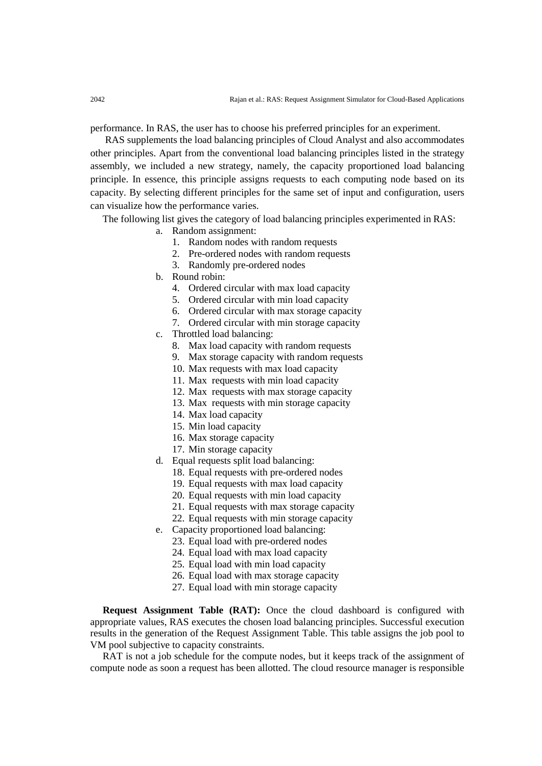performance. In RAS, the user has to choose his preferred principles for an experiment.

RAS supplements the load balancing principles of Cloud Analyst and also accommodates other principles. Apart from the conventional load balancing principles listed in the strategy assembly, we included a new strategy, namely, the capacity proportioned load balancing principle. In essence, this principle assigns requests to each computing node based on its capacity. By selecting different principles for the same set of input and configuration, users can visualize how the performance varies.

The following list gives the category of load balancing principles experimented in RAS:

- a. Random assignment:
	- 1. Random nodes with random requests
	- 2. Pre-ordered nodes with random requests
	- 3. Randomly pre-ordered nodes
- b. Round robin:
	- 4. Ordered circular with max load capacity
	- 5. Ordered circular with min load capacity
	- 6. Ordered circular with max storage capacity
	- 7. Ordered circular with min storage capacity
- c. Throttled load balancing:
	- 8. Max load capacity with random requests
	- 9. Max storage capacity with random requests
	- 10. Max requests with max load capacity
	- 11. Max requests with min load capacity
	- 12. Max requests with max storage capacity
	- 13. Max requests with min storage capacity
	- 14. Max load capacity
	- 15. Min load capacity
	- 16. Max storage capacity
	- 17. Min storage capacity
- d. Equal requests split load balancing:
	- 18. Equal requests with pre-ordered nodes
	- 19. Equal requests with max load capacity
	- 20. Equal requests with min load capacity
	- 21. Equal requests with max storage capacity
	- 22. Equal requests with min storage capacity
- e. Capacity proportioned load balancing:
	- 23. Equal load with pre-ordered nodes
	- 24. Equal load with max load capacity
	- 25. Equal load with min load capacity
	- 26. Equal load with max storage capacity
	- 27. Equal load with min storage capacity

**Request Assignment Table (RAT):** Once the cloud dashboard is configured with appropriate values, RAS executes the chosen load balancing principles. Successful execution results in the generation of the Request Assignment Table. This table assigns the job pool to VM pool subjective to capacity constraints.

RAT is not a job schedule for the compute nodes, but it keeps track of the assignment of compute node as soon a request has been allotted. The cloud resource manager is responsible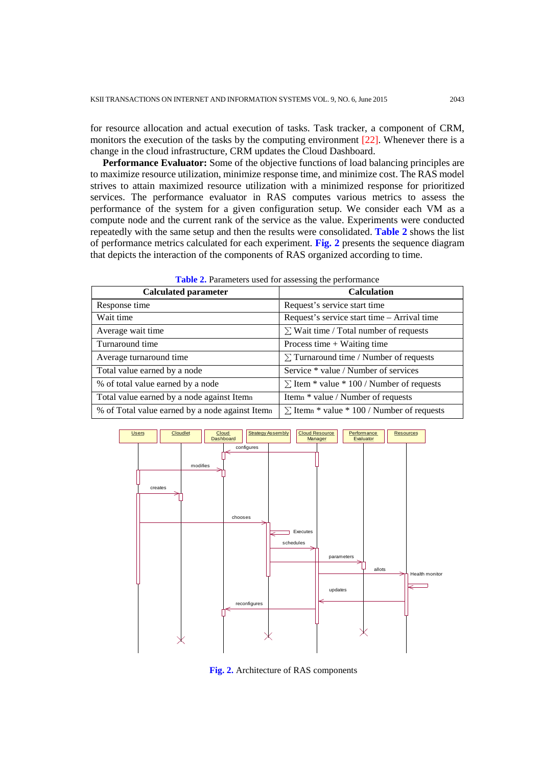for resource allocation and actual execution of tasks. Task tracker, a component of CRM, monitors the execution of the tasks by the computing environment [22]. Whenever there is a change in the cloud infrastructure, CRM updates the Cloud Dashboard.

**Performance Evaluator:** Some of the objective functions of load balancing principles are to maximize resource utilization, minimize response time, and minimize cost. The RAS model strives to attain maximized resource utilization with a minimized response for prioritized services. The performance evaluator in RAS computes various metrics to assess the performance of the system for a given configuration setup. We consider each VM as a compute node and the current rank of the service as the value. Experiments were conducted repeatedly with the same setup and then the results were consolidated. **Table 2** shows the list of performance metrics calculated for each experiment. **Fig. 2** presents the sequence diagram that depicts the interaction of the components of RAS organized according to time.

**Table 2.** Parameters used for assessing the performance

| <b>Calculated parameter</b>                    | <b>Calculation</b>                                |  |  |  |  |
|------------------------------------------------|---------------------------------------------------|--|--|--|--|
| Response time                                  | Request's service start time                      |  |  |  |  |
| Wait time                                      | Request's service start time – Arrival time       |  |  |  |  |
| Average wait time                              | $\Sigma$ Wait time / Total number of requests     |  |  |  |  |
| Turnaround time                                | Process time $+$ Waiting time                     |  |  |  |  |
| Average turnaround time                        | $\Sigma$ Turnaround time / Number of requests     |  |  |  |  |
| Total value earned by a node                   | Service * value / Number of services              |  |  |  |  |
| % of total value earned by a node              | $\Sigma$ Item * value * 100 / Number of requests  |  |  |  |  |
| Total value earned by a node against Itemn     | Itemn * value / Number of requests                |  |  |  |  |
| % of Total value earned by a node against Item | $\Sigma$ Itemn * value * 100 / Number of requests |  |  |  |  |



**Fig. 2.** Architecture of RAS components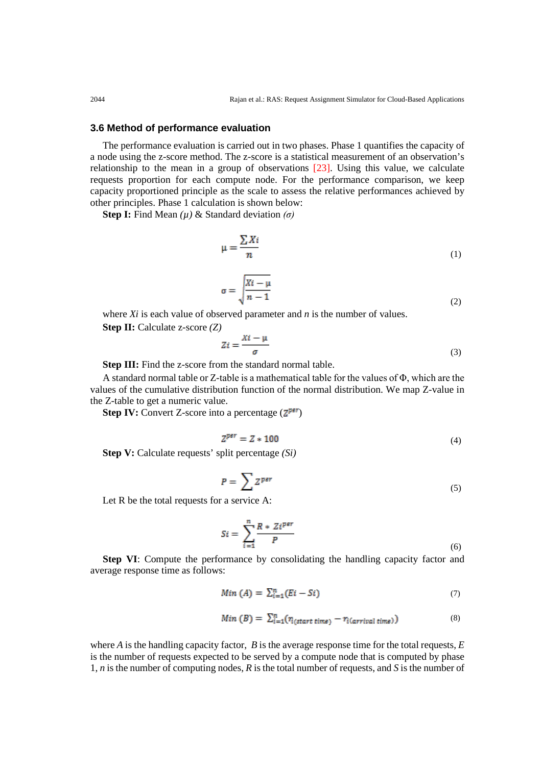#### **3.6 Method of performance evaluation**

The performance evaluation is carried out in two phases. Phase 1 quantifies the capacity of a node using the z-score method. The z-score is a statistical measurement of an observation's relationship to the mean in a group of observations [23]. Using this value, we calculate requests proportion for each compute node. For the performance comparison, we keep capacity proportioned principle as the scale to assess the relative performances achieved by other principles. Phase 1 calculation is shown below:

**Step I:** Find Mean *(µ)* & Standard deviation *(σ)*

$$
\mu = \frac{\sum X_i}{n} \tag{1}
$$

$$
\sigma = \sqrt{\frac{Xi - \mu}{n - 1}}
$$
 (2)

where *Xi* is each value of observed parameter and *n* is the number of values. **Step II:** Calculate z-score *(Z)*

$$
Zi = \frac{Xi - \mu}{\sigma} \tag{3}
$$

**Step III:** Find the z-score from the standard normal table.

A standard normal table or Z-table is a mathematical table for the values of Φ, which are the values of the cumulative distribution function of the normal distribution. We map Z-value in the Z-table to get a numeric value.

**Step IV:** Convert Z-score into a percentage  $(\mathbb{Z}^{\text{per}})$ 

$$
Z^{per} = Z \times 100 \tag{4}
$$

**Step V:** Calculate requests' split percentage *(Si)*

$$
P = \sum Z^{per} \tag{5}
$$

Let R be the total requests for a service A:

$$
Si = \sum_{i=1}^{n} \frac{R * Z i^{per}}{P}
$$
 (6)

**Step VI**: Compute the performance by consolidating the handling capacity factor and average response time as follows:

$$
Min(A) = \sum_{i=1}^{n} (Ei - Si) \tag{7}
$$

$$
Min(B) = \sum_{i=1}^{n} (r_{i(stat \, time)} - r_{i(arrival \, time)}) \tag{8}
$$

where *A* is the handling capacity factor, *B* is the average response time for the total requests, *E* is the number of requests expected to be served by a compute node that is computed by phase 1, *n* is the number of computing nodes, *R* is the total number of requests, and *S* is the number of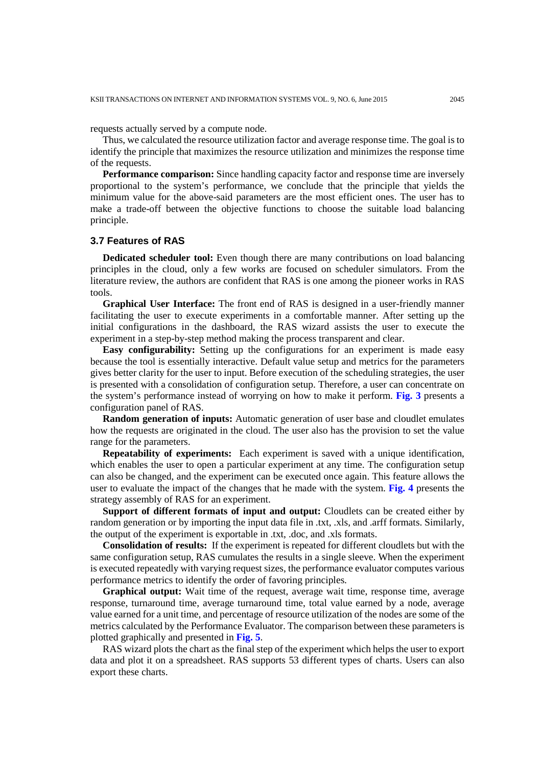requests actually served by a compute node.

Thus, we calculated the resource utilization factor and average response time. The goal is to identify the principle that maximizes the resource utilization and minimizes the response time of the requests.

**Performance comparison:** Since handling capacity factor and response time are inversely proportional to the system's performance, we conclude that the principle that yields the minimum value for the above-said parameters are the most efficient ones. The user has to make a trade-off between the objective functions to choose the suitable load balancing principle.

#### **3.7 Features of RAS**

**Dedicated scheduler tool:** Even though there are many contributions on load balancing principles in the cloud, only a few works are focused on scheduler simulators. From the literature review, the authors are confident that RAS is one among the pioneer works in RAS tools.

**Graphical User Interface:** The front end of RAS is designed in a user-friendly manner facilitating the user to execute experiments in a comfortable manner. After setting up the initial configurations in the dashboard, the RAS wizard assists the user to execute the experiment in a step-by-step method making the process transparent and clear.

**Easy configurability:** Setting up the configurations for an experiment is made easy because the tool is essentially interactive. Default value setup and metrics for the parameters gives better clarity for the user to input. Before execution of the scheduling strategies, the user is presented with a consolidation of configuration setup. Therefore, a user can concentrate on the system's performance instead of worrying on how to make it perform. **Fig. 3** presents a configuration panel of RAS.

**Random generation of inputs:** Automatic generation of user base and cloudlet emulates how the requests are originated in the cloud. The user also has the provision to set the value range for the parameters.

**Repeatability of experiments:** Each experiment is saved with a unique identification, which enables the user to open a particular experiment at any time. The configuration setup can also be changed, and the experiment can be executed once again. This feature allows the user to evaluate the impact of the changes that he made with the system. **Fig. 4** presents the strategy assembly of RAS for an experiment.

**Support of different formats of input and output:** Cloudlets can be created either by random generation or by importing the input data file in .txt, .xls, and .arff formats. Similarly, the output of the experiment is exportable in .txt, .doc, and .xls formats.

**Consolidation of results:** If the experiment is repeated for different cloudlets but with the same configuration setup, RAS cumulates the results in a single sleeve. When the experiment is executed repeatedly with varying request sizes, the performance evaluator computes various performance metrics to identify the order of favoring principles.

**Graphical output:** Wait time of the request, average wait time, response time, average response, turnaround time, average turnaround time, total value earned by a node, average value earned for a unit time, and percentage of resource utilization of the nodes are some of the metrics calculated by the Performance Evaluator. The comparison between these parameters is plotted graphically and presented in **Fig. 5**.

RAS wizard plots the chart as the final step of the experiment which helps the user to export data and plot it on a spreadsheet. RAS supports 53 different types of charts. Users can also export these charts.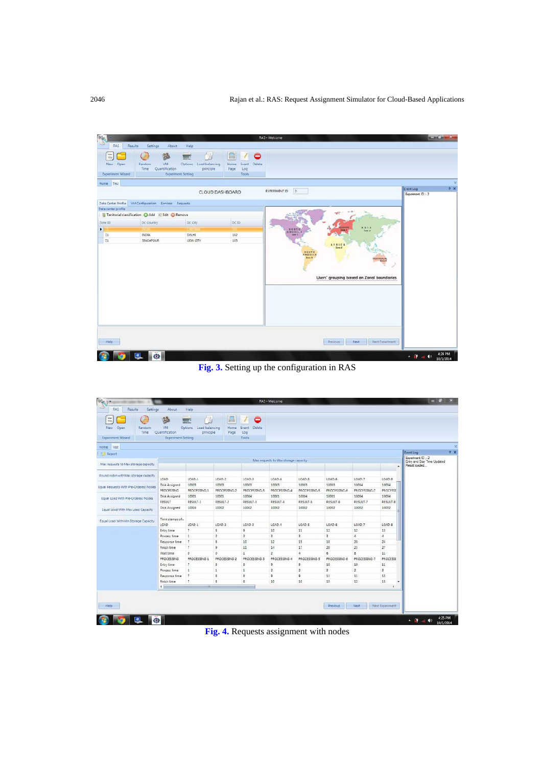

**Fig. 3.** Setting up the configuration in RAS

| <b>Wid</b><br>New Open<br>Random<br>Time<br>Experiment Wizard                | $\frac{66}{6}$<br>VM<br>Quantification<br><b>Experiment Setting</b> | Load balancing<br><b>Cutions</b><br>principle | 르<br>Home<br>Page       | 0<br>Delete<br>Event<br>Log<br>Tools |                |                |                          |                |                                                                    |           |
|------------------------------------------------------------------------------|---------------------------------------------------------------------|-----------------------------------------------|-------------------------|--------------------------------------|----------------|----------------|--------------------------|----------------|--------------------------------------------------------------------|-----------|
| Home<br>Test                                                                 |                                                                     |                                               |                         |                                      |                |                |                          |                |                                                                    |           |
| <b>Ed Export</b>                                                             |                                                                     |                                               |                         |                                      |                |                |                          |                |                                                                    | Event Log |
| Max requests to Max storage capacity<br>Max requests to Max storage capacity |                                                                     |                                               |                         |                                      |                |                |                          | $\blacksquare$ | Experiment ID: - 2<br>Entry and Stay Time Updated<br>Result loaded |           |
| Round robin with Max storage capacity                                        |                                                                     |                                               |                         |                                      |                |                |                          |                |                                                                    |           |
|                                                                              | LOAD                                                                | $LOAD-1$                                      | $LOAD-2$                | LOAD-3                               | LOAD-4         | LOAD-5         | LOAD-6                   | LOAD-7         | LOAD-8                                                             |           |
| Equal Requests With Pre-Ordered Nodes                                        | Disk Assigned                                                       | 10003                                         | 10003                   | 10003                                | 10003          | 10003          | 10003                    | 10004          | 10004                                                              |           |
|                                                                              | <b>PROCESSING</b>                                                   | PROCESSING-1                                  | PROCESSING-2            | PROCESSING-3                         | PROCESSING-4   | PROCESSING-5   | PROCESSING-6             | PROCESSING-7   | <b>PROCESSI</b>                                                    |           |
| Equal Load With Pre-Ordered Nodes                                            | Disk Assigned                                                       | 10001                                         | 10001                   | 10004                                | 10001          | 10004          | 10001                    | 10004          | 10004                                                              |           |
|                                                                              | RESULT                                                              | RESULT-1                                      | RESULT-2                | RESULT-3                             | RESULT-4       | RESULT-5       | RESULT-6                 | RESULT-7       | RESULT-8                                                           |           |
| Equal Load With Max Load Capacity                                            | Disk Assigned                                                       | 10004                                         | 10002                   | 10002                                | 10002          | 10002          | 10002                    | 10002          | 10002                                                              |           |
| Equal Load With Min Storage Capacity                                         | Time stamps of                                                      |                                               |                         |                                      |                |                |                          |                |                                                                    |           |
|                                                                              | LOAD                                                                | LOAD-1                                        | LOAD-2                  | LOAD-3                               | LOAD-4         | LOAD-5         | LOAD-6                   | LOAD-7         | LOAD 8                                                             |           |
|                                                                              | Entry time                                                          | $\overline{z}$                                | s                       | 9                                    | 10             | 11             | 12                       | 12             | 13                                                                 |           |
|                                                                              | Process time                                                        | $\mathbf{1}$                                  | $\overline{2}$          | $\overline{2}$                       | 3              | 3              | 3                        | $\ddot{a}$     | $\frac{1}{2}$                                                      |           |
|                                                                              | Response time                                                       | $\overline{7}$                                | s.                      | 10                                   | 12             | 15             | 18                       | 20             | 24                                                                 |           |
|                                                                              | Firish time                                                         | $\mathcal{I}$                                 | 9                       | 11                                   | 14             | 17             | 20                       | 23             | 27                                                                 |           |
|                                                                              | Wait time                                                           | $\circ$                                       | o.                      | $\overline{1}$                       | $\overline{2}$ | 4              | 6                        | s.             | 11                                                                 |           |
|                                                                              | <b>PROCESSING</b>                                                   | PROCESSING-1                                  | PROCESSING 2            | PROCESSING-3                         | PROCESSING-4   | PROCESSING-5   | PROCESSING 6             | PROCESSING.7   | PROCESSI                                                           |           |
|                                                                              | Entry time                                                          | $\overline{z}$                                | s.                      | 8                                    | 9              | 9              | 10 <sub>2</sub>          | 10             | 11                                                                 |           |
|                                                                              | Process time                                                        | $\mathbf{1}$                                  | $\mathbf{I}$            | 1                                    | $\overline{2}$ | $\overline{2}$ | $\overline{\phantom{a}}$ | $\overline{2}$ | 3                                                                  |           |
|                                                                              | Response time                                                       | $\overline{z}$                                | ã                       | 8                                    | 9              | $\overline{9}$ | 11                       | 11             | 13                                                                 |           |
|                                                                              | Firish time                                                         | $\overline{7}$                                | $\overline{\mathbf{g}}$ | 8                                    | 10             | 10             | 13                       | 12             | 15                                                                 |           |
|                                                                              | $+1$                                                                |                                               |                         |                                      |                |                |                          |                | ×                                                                  |           |

**Fig. 4.** Requests assignment with nodes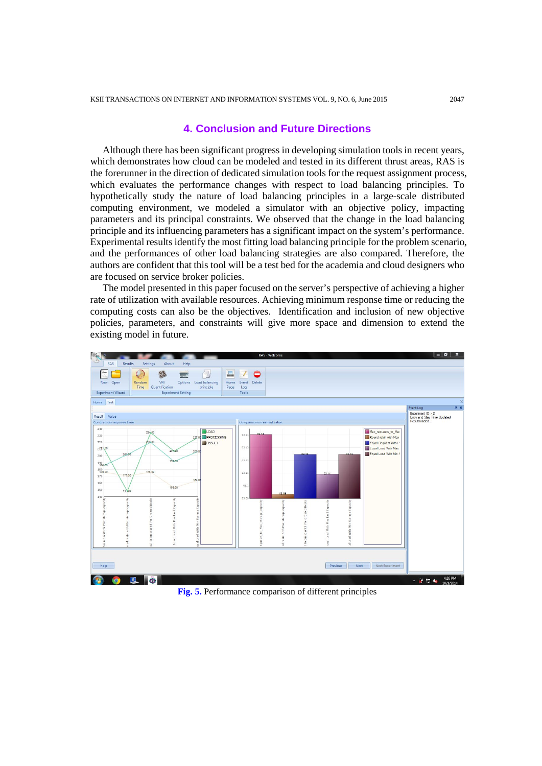# **4. Conclusion and Future Directions**

Although there has been significant progress in developing simulation tools in recent years, which demonstrates how cloud can be modeled and tested in its different thrust areas, RAS is the forerunner in the direction of dedicated simulation tools for the request assignment process, which evaluates the performance changes with respect to load balancing principles. To hypothetically study the nature of load balancing principles in a large-scale distributed computing environment, we modeled a simulator with an objective policy, impacting parameters and its principal constraints. We observed that the change in the load balancing principle and its influencing parameters has a significant impact on the system's performance. Experimental results identify the most fitting load balancing principle for the problem scenario, and the performances of other load balancing strategies are also compared. Therefore, the authors are confident that this tool will be a test bed for the academia and cloud designers who are focused on service broker policies.

The model presented in this paper focused on the server's perspective of achieving a higher rate of utilization with available resources. Achieving minimum response time or reducing the computing costs can also be the objectives. Identification and inclusion of new objective policies, parameters, and constraints will give more space and dimension to extend the existing model in future.



**Fig. 5.** Performance comparison of different principles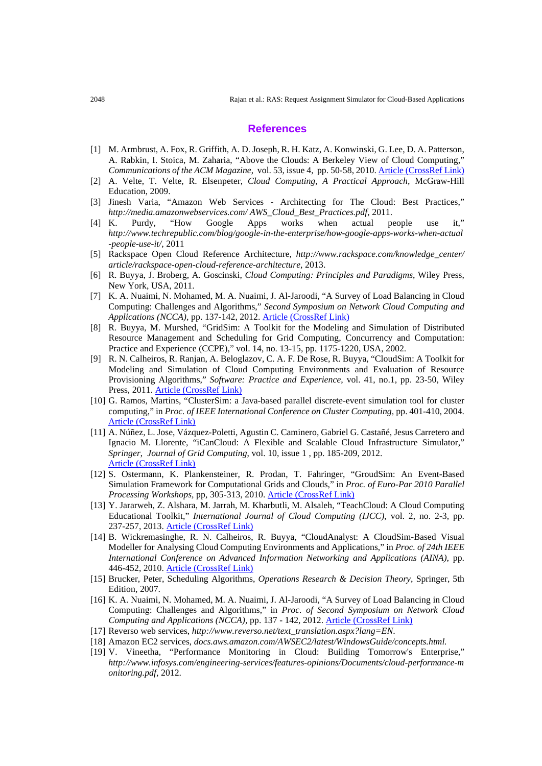#### **References**

- [1] M. Armbrust, A. Fox, R. Griffith, A. D. Joseph, R. H. Katz, A. Konwinski, G. Lee, D. A. Patterson, A. Rabkin, I. Stoica, M. Zaharia, "Above the Clouds: A Berkeley View of Cloud Computing," *Communications of the ACM Magazine, vol.* 53, issue 4, pp. 50-58, 2010. [Article \(CrossRef Link\)](http://dx.doi.org/10.1145/1721654.1721672)
- [2] A. Velte, T. Velte, R. Elsenpeter, *Cloud Computing, A Practical Approach,* McGraw-Hill Education, 2009.
- [3] Jinesh Varia, "Amazon Web Services Architecting for The Cloud: Best Practices," *http://media.amazonwebservices.com/ AWS\_Cloud\_Best\_Practices.pdf*, 2011.
- [4] K. Purdy, "How Google Apps works when actual people use it," *http://www.techrepublic.com/blog/google-in-the-enterprise/how-google-apps-works-when-actual -people-use-it/*, 2011
- [5] Rackspace Open Cloud Reference Architecture, *http://www.rackspace.com/knowledge\_center/ article/rackspace-open-cloud-reference-architecture*, 2013.
- [6] R. Buyya, J. Broberg, A. Goscinski, *Cloud Computing: Principles and Paradigms*, Wiley Press, New York, USA, 2011.
- [7] K. A. Nuaimi, N. Mohamed, M. A. Nuaimi, J. Al-Jaroodi, "A Survey of Load Balancing in Cloud Computing: Challenges and Algorithms," *Second Symposium on Network Cloud Computing and Applications (NCCA),* pp. 137-142, 2012. [Article \(CrossRef Link\)](http://dx.doi.org/10.1145/1721654.1721672)
- [8] R. Buyya, M. Murshed, "GridSim: A Toolkit for the Modeling and Simulation of Distributed Resource Management and Scheduling for Grid Computing, Concurrency and Computation: Practice and Experience (CCPE)," vol. 14, no. 13-15, pp. 1175-1220, USA, 2002.
- [9] R. N. Calheiros, R. Ranjan, A. Beloglazov, C. A. F. De Rose, R. Buyya, "CloudSim: A Toolkit for Modeling and Simulation of Cloud Computing Environments and Evaluation of Resource Provisioning Algorithms," *Software: Practice and Experience*, vol. 41, no.1, pp. 23-50, Wiley Press, 2011. [Article \(CrossRef Link\)](#page-0-0)
- [10] G. Ramos, Martins, "ClusterSim: a Java-based parallel discrete-event simulation tool for cluster computing," in *Proc. of IEEE International Conference on Cluster Computing,* pp. 401-410, 2004. [Article \(CrossRef Link\)](#page-0-0)
- [11] A. Núñez, L. Jose, Vázquez-Poletti, Agustin C. Caminero, Gabriel G. Castañé, Jesus Carretero and Ignacio M. Llorente, "iCanCloud: A Flexible and Scalable Cloud Infrastructure Simulator," *Springer*, *Journal of Grid Computing*, vol. 10, issue 1 , pp. 185-209, 2012. [Article \(CrossRef Link\)](#page-0-0)
- [12] S. Ostermann, K. Plankensteiner, R. Prodan, T. Fahringer, "GroudSim: An Event-Based Simulation Framework for Computational Grids and Clouds," in *Proc. of Euro-Par 2010 Parallel Processing Workshops,* pp, 305-313, 2010. [Article \(CrossRef Link\)](#page-0-0)
- [13] Y. Jararweh, Z. Alshara, M. Jarrah, M. Kharbutli, M. Alsaleh, "TeachCloud: A Cloud Computing Educational Toolkit," *International Journal of Cloud Computing (IJCC)*, vol. 2, no. 2-3, pp. 237-257, 2013. **[Article \(CrossRef Link\)](#page-0-0)**
- [14] B. Wickremasinghe, R. N. Calheiros, R. Buyya, "CloudAnalyst: A CloudSim-Based Visual Modeller for Analysing Cloud Computing Environments and Applications," in *Proc. of 24th IEEE International Conference on Advanced Information Networking and Applications (AINA)*, pp. 446-452, 2010. [Article \(CrossRef Link\)](#page-0-0)
- [15] Brucker, Peter, Scheduling Algorithms, *Operations Research & Decision Theory*, Springer, 5th Edition, 2007.
- [16] K. A. Nuaimi, N. Mohamed, M. A. Nuaimi, J. Al-Jaroodi, "A Survey of Load Balancing in Cloud Computing: Challenges and Algorithms," in *Proc. of Second Symposium on Network Cloud Computing and Applications (NCCA),* pp. 137 - 142, 2012. [Article \(CrossRef Link\)](#page-0-0)
- [17] Reverso web services, *[http://www.reverso.net/text\\_translation.aspx?lang=EN](http://www.reverso.net/text_translation.aspx?lang=EN)*.
- [18] Amazon EC2 services, *docs.aws.amazon.com/AWSEC2/latest/WindowsGuide/concepts.html.*
- [19] V. Vineetha, "Performance Monitoring in Cloud: Building Tomorrow's Enterprise," *http://www.infosys.com/engineering-services/features-opinions/Documents/cloud-performance-m onitoring.pdf*, 2012.